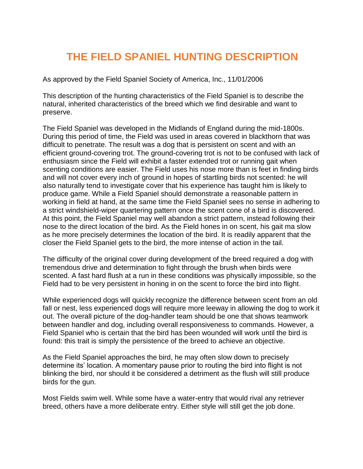## **THE FIELD SPANIEL HUNTING DESCRIPTION**

As approved by the Field Spaniel Society of America, Inc., 11/01/2006

This description of the hunting characteristics of the Field Spaniel is to describe the natural, inherited characteristics of the breed which we find desirable and want to preserve.

The Field Spaniel was developed in the Midlands of England during the mid-1800s. During this period of time, the Field was used in areas covered in blackthorn that was difficult to penetrate. The result was a dog that is persistent on scent and with an efficient ground-covering trot. The ground-covering trot is not to be confused with lack of enthusiasm since the Field will exhibit a faster extended trot or running gait when scenting conditions are easier. The Field uses his nose more than is feet in finding birds and will not cover every inch of ground in hopes of startling birds not scented: he will also naturally tend to investigate cover that his experience has taught him is likely to produce game. While a Field Spaniel should demonstrate a reasonable pattern in working in field at hand, at the same time the Field Spaniel sees no sense in adhering to a strict windshield-wiper quartering pattern once the scent cone of a bird is discovered. At this point, the Field Spaniel may well abandon a strict pattern, instead following their nose to the direct location of the bird. As the Field hones in on scent, his gait ma slow as he more precisely determines the location of the bird. It is readily apparent that the closer the Field Spaniel gets to the bird, the more intense of action in the tail.

The difficulty of the original cover during development of the breed required a dog with tremendous drive and determination to fight through the brush when birds were scented. A fast hard flush at a run in these conditions was physically impossible, so the Field had to be very persistent in honing in on the scent to force the bird into flight.

While experienced dogs will quickly recognize the difference between scent from an old fall or nest, less experienced dogs will require more leeway in allowing the dog to work it out. The overall picture of the dog-handler team should be one that shows teamwork between handler and dog, including overall responsiveness to commands. However, a Field Spaniel who is certain that the bird has been wounded will work until the bird is found: this trait is simply the persistence of the breed to achieve an objective.

As the Field Spaniel approaches the bird, he may often slow down to precisely determine its' location. A momentary pause prior to routing the bird into flight is not blinking the bird, nor should it be considered a detriment as the flush will still produce birds for the gun.

Most Fields swim well. While some have a water-entry that would rival any retriever breed, others have a more deliberate entry. Either style will still get the job done.